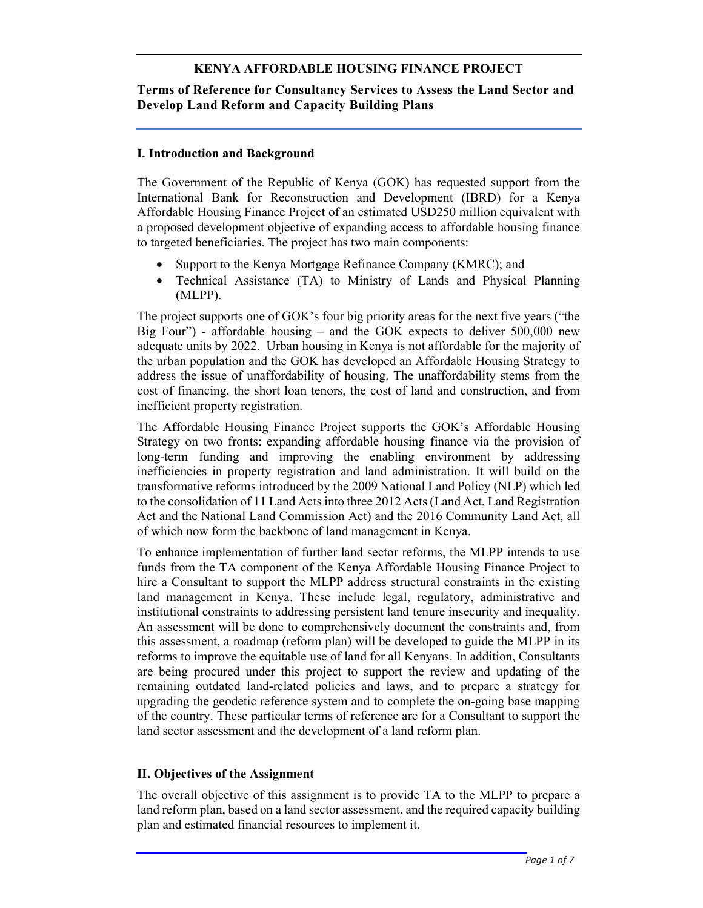### KENYA AFFORDABLE HOUSING FINANCE PROJECT

#### Terms of Reference for Consultancy Services to Assess the Land Sector and Develop Land Reform and Capacity Building Plans

#### I. Introduction and Background

The Government of the Republic of Kenya (GOK) has requested support from the International Bank for Reconstruction and Development (IBRD) for a Kenya Affordable Housing Finance Project of an estimated USD250 million equivalent with a proposed development objective of expanding access to affordable housing finance to targeted beneficiaries. The project has two main components:

- Support to the Kenya Mortgage Refinance Company (KMRC); and
- Technical Assistance (TA) to Ministry of Lands and Physical Planning (MLPP).

The project supports one of GOK's four big priority areas for the next five years ("the Big Four") - affordable housing – and the GOK expects to deliver  $500,000$  new adequate units by 2022. Urban housing in Kenya is not affordable for the majority of the urban population and the GOK has developed an Affordable Housing Strategy to address the issue of unaffordability of housing. The unaffordability stems from the cost of financing, the short loan tenors, the cost of land and construction, and from inefficient property registration.

The Affordable Housing Finance Project supports the GOK's Affordable Housing Strategy on two fronts: expanding affordable housing finance via the provision of long-term funding and improving the enabling environment by addressing inefficiencies in property registration and land administration. It will build on the transformative reforms introduced by the 2009 National Land Policy (NLP) which led to the consolidation of 11 Land Acts into three 2012 Acts (Land Act, Land Registration Act and the National Land Commission Act) and the 2016 Community Land Act, all of which now form the backbone of land management in Kenya.

To enhance implementation of further land sector reforms, the MLPP intends to use funds from the TA component of the Kenya Affordable Housing Finance Project to hire a Consultant to support the MLPP address structural constraints in the existing land management in Kenya. These include legal, regulatory, administrative and institutional constraints to addressing persistent land tenure insecurity and inequality. An assessment will be done to comprehensively document the constraints and, from this assessment, a roadmap (reform plan) will be developed to guide the MLPP in its reforms to improve the equitable use of land for all Kenyans. In addition, Consultants are being procured under this project to support the review and updating of the remaining outdated land-related policies and laws, and to prepare a strategy for upgrading the geodetic reference system and to complete the on-going base mapping of the country. These particular terms of reference are for a Consultant to support the land sector assessment and the development of a land reform plan.

#### II. Objectives of the Assignment

The overall objective of this assignment is to provide TA to the MLPP to prepare a land reform plan, based on a land sector assessment, and the required capacity building plan and estimated financial resources to implement it.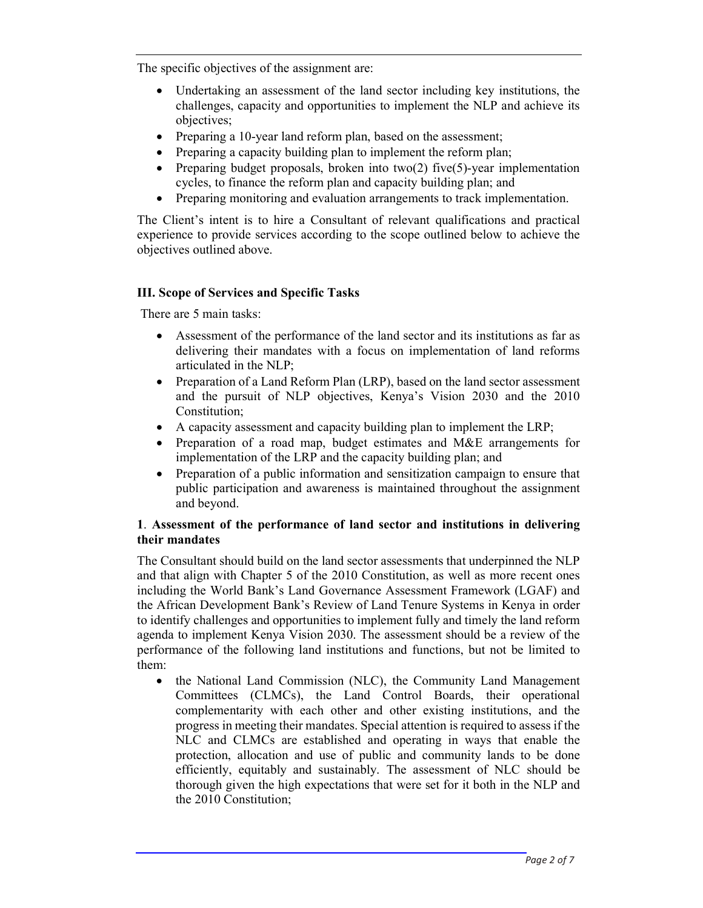The specific objectives of the assignment are:

- Undertaking an assessment of the land sector including key institutions, the challenges, capacity and opportunities to implement the NLP and achieve its objectives;
- Preparing a 10-year land reform plan, based on the assessment;
- Preparing a capacity building plan to implement the reform plan;
- Preparing budget proposals, broken into two(2) five(5)-year implementation cycles, to finance the reform plan and capacity building plan; and
- Preparing monitoring and evaluation arrangements to track implementation.

The Client's intent is to hire a Consultant of relevant qualifications and practical experience to provide services according to the scope outlined below to achieve the objectives outlined above.

# III. Scope of Services and Specific Tasks

There are 5 main tasks:

- Assessment of the performance of the land sector and its institutions as far as delivering their mandates with a focus on implementation of land reforms articulated in the NLP;
- Preparation of a Land Reform Plan (LRP), based on the land sector assessment and the pursuit of NLP objectives, Kenya's Vision 2030 and the 2010 Constitution;
- A capacity assessment and capacity building plan to implement the LRP;
- Preparation of a road map, budget estimates and M&E arrangements for implementation of the LRP and the capacity building plan; and
- Preparation of a public information and sensitization campaign to ensure that public participation and awareness is maintained throughout the assignment and beyond.

# 1. Assessment of the performance of land sector and institutions in delivering their mandates

The Consultant should build on the land sector assessments that underpinned the NLP and that align with Chapter 5 of the 2010 Constitution, as well as more recent ones including the World Bank's Land Governance Assessment Framework (LGAF) and the African Development Bank's Review of Land Tenure Systems in Kenya in order to identify challenges and opportunities to implement fully and timely the land reform agenda to implement Kenya Vision 2030. The assessment should be a review of the performance of the following land institutions and functions, but not be limited to them:

• the National Land Commission (NLC), the Community Land Management Committees (CLMCs), the Land Control Boards, their operational complementarity with each other and other existing institutions, and the progress in meeting their mandates. Special attention is required to assess if the NLC and CLMCs are established and operating in ways that enable the protection, allocation and use of public and community lands to be done efficiently, equitably and sustainably. The assessment of NLC should be thorough given the high expectations that were set for it both in the NLP and the 2010 Constitution;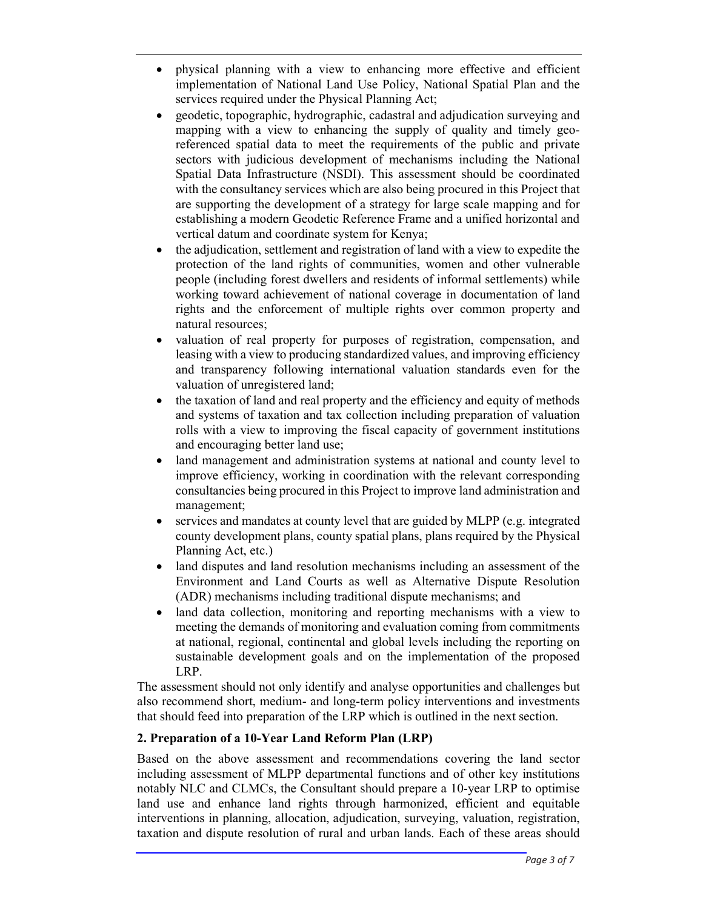- physical planning with a view to enhancing more effective and efficient implementation of National Land Use Policy, National Spatial Plan and the services required under the Physical Planning Act;
- geodetic, topographic, hydrographic, cadastral and adjudication surveying and mapping with a view to enhancing the supply of quality and timely georeferenced spatial data to meet the requirements of the public and private sectors with judicious development of mechanisms including the National Spatial Data Infrastructure (NSDI). This assessment should be coordinated with the consultancy services which are also being procured in this Project that are supporting the development of a strategy for large scale mapping and for establishing a modern Geodetic Reference Frame and a unified horizontal and vertical datum and coordinate system for Kenya;
- the adjudication, settlement and registration of land with a view to expedite the protection of the land rights of communities, women and other vulnerable people (including forest dwellers and residents of informal settlements) while working toward achievement of national coverage in documentation of land rights and the enforcement of multiple rights over common property and natural resources;
- valuation of real property for purposes of registration, compensation, and leasing with a view to producing standardized values, and improving efficiency and transparency following international valuation standards even for the valuation of unregistered land;
- the taxation of land and real property and the efficiency and equity of methods and systems of taxation and tax collection including preparation of valuation rolls with a view to improving the fiscal capacity of government institutions and encouraging better land use;
- land management and administration systems at national and county level to improve efficiency, working in coordination with the relevant corresponding consultancies being procured in this Project to improve land administration and management;
- services and mandates at county level that are guided by MLPP (e.g. integrated county development plans, county spatial plans, plans required by the Physical Planning Act, etc.)
- land disputes and land resolution mechanisms including an assessment of the Environment and Land Courts as well as Alternative Dispute Resolution (ADR) mechanisms including traditional dispute mechanisms; and
- land data collection, monitoring and reporting mechanisms with a view to meeting the demands of monitoring and evaluation coming from commitments at national, regional, continental and global levels including the reporting on sustainable development goals and on the implementation of the proposed LRP.

The assessment should not only identify and analyse opportunities and challenges but also recommend short, medium- and long-term policy interventions and investments that should feed into preparation of the LRP which is outlined in the next section.

# 2. Preparation of a 10-Year Land Reform Plan (LRP)

Based on the above assessment and recommendations covering the land sector including assessment of MLPP departmental functions and of other key institutions notably NLC and CLMCs, the Consultant should prepare a 10-year LRP to optimise land use and enhance land rights through harmonized, efficient and equitable interventions in planning, allocation, adjudication, surveying, valuation, registration, taxation and dispute resolution of rural and urban lands. Each of these areas should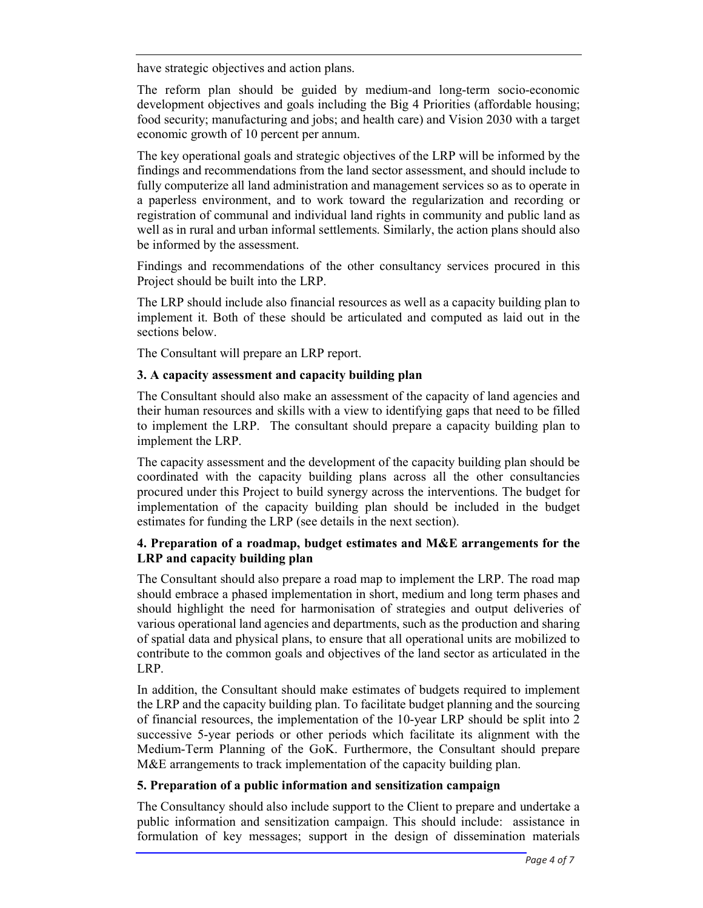have strategic objectives and action plans.

The reform plan should be guided by medium-and long-term socio-economic development objectives and goals including the Big 4 Priorities (affordable housing; food security; manufacturing and jobs; and health care) and Vision 2030 with a target economic growth of 10 percent per annum.

The key operational goals and strategic objectives of the LRP will be informed by the findings and recommendations from the land sector assessment, and should include to fully computerize all land administration and management services so as to operate in a paperless environment, and to work toward the regularization and recording or registration of communal and individual land rights in community and public land as well as in rural and urban informal settlements. Similarly, the action plans should also be informed by the assessment.

Findings and recommendations of the other consultancy services procured in this Project should be built into the LRP.

The LRP should include also financial resources as well as a capacity building plan to implement it. Both of these should be articulated and computed as laid out in the sections below.

The Consultant will prepare an LRP report.

### 3. A capacity assessment and capacity building plan

The Consultant should also make an assessment of the capacity of land agencies and their human resources and skills with a view to identifying gaps that need to be filled to implement the LRP. The consultant should prepare a capacity building plan to implement the LRP.

The capacity assessment and the development of the capacity building plan should be coordinated with the capacity building plans across all the other consultancies procured under this Project to build synergy across the interventions. The budget for implementation of the capacity building plan should be included in the budget estimates for funding the LRP (see details in the next section).

#### 4. Preparation of a roadmap, budget estimates and M&E arrangements for the LRP and capacity building plan

The Consultant should also prepare a road map to implement the LRP. The road map should embrace a phased implementation in short, medium and long term phases and should highlight the need for harmonisation of strategies and output deliveries of various operational land agencies and departments, such as the production and sharing of spatial data and physical plans, to ensure that all operational units are mobilized to contribute to the common goals and objectives of the land sector as articulated in the LRP.

In addition, the Consultant should make estimates of budgets required to implement the LRP and the capacity building plan. To facilitate budget planning and the sourcing of financial resources, the implementation of the 10-year LRP should be split into 2 successive 5-year periods or other periods which facilitate its alignment with the Medium-Term Planning of the GoK. Furthermore, the Consultant should prepare M&E arrangements to track implementation of the capacity building plan.

### 5. Preparation of a public information and sensitization campaign

The Consultancy should also include support to the Client to prepare and undertake a public information and sensitization campaign. This should include: assistance in formulation of key messages; support in the design of dissemination materials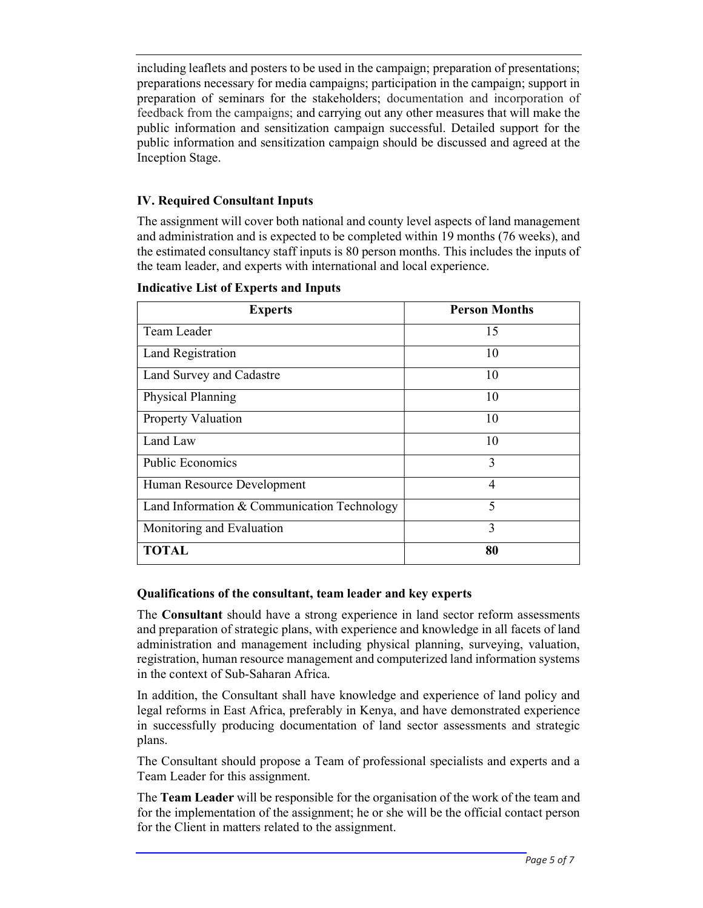including leaflets and posters to be used in the campaign; preparation of presentations; preparations necessary for media campaigns; participation in the campaign; support in preparation of seminars for the stakeholders; documentation and incorporation of feedback from the campaigns; and carrying out any other measures that will make the public information and sensitization campaign successful. Detailed support for the public information and sensitization campaign should be discussed and agreed at the Inception Stage.

### IV. Required Consultant Inputs

The assignment will cover both national and county level aspects of land management and administration and is expected to be completed within 19 months (76 weeks), and the estimated consultancy staff inputs is 80 person months. This includes the inputs of the team leader, and experts with international and local experience.

| <b>Experts</b>                              | <b>Person Months</b> |
|---------------------------------------------|----------------------|
| Team Leader                                 | 15                   |
| Land Registration                           | 10                   |
| Land Survey and Cadastre                    | 10                   |
| Physical Planning                           | 10                   |
| <b>Property Valuation</b>                   | 10                   |
| Land Law                                    | 10                   |
| <b>Public Economics</b>                     | 3                    |
| Human Resource Development                  | 4                    |
| Land Information & Communication Technology | 5                    |
| Monitoring and Evaluation                   | 3                    |
| <b>TOTAL</b>                                | 80                   |

#### Indicative List of Experts and Inputs

### Qualifications of the consultant, team leader and key experts

The Consultant should have a strong experience in land sector reform assessments and preparation of strategic plans, with experience and knowledge in all facets of land administration and management including physical planning, surveying, valuation, registration, human resource management and computerized land information systems in the context of Sub-Saharan Africa.

In addition, the Consultant shall have knowledge and experience of land policy and legal reforms in East Africa, preferably in Kenya, and have demonstrated experience in successfully producing documentation of land sector assessments and strategic plans.

The Consultant should propose a Team of professional specialists and experts and a Team Leader for this assignment.

The Team Leader will be responsible for the organisation of the work of the team and for the implementation of the assignment; he or she will be the official contact person for the Client in matters related to the assignment.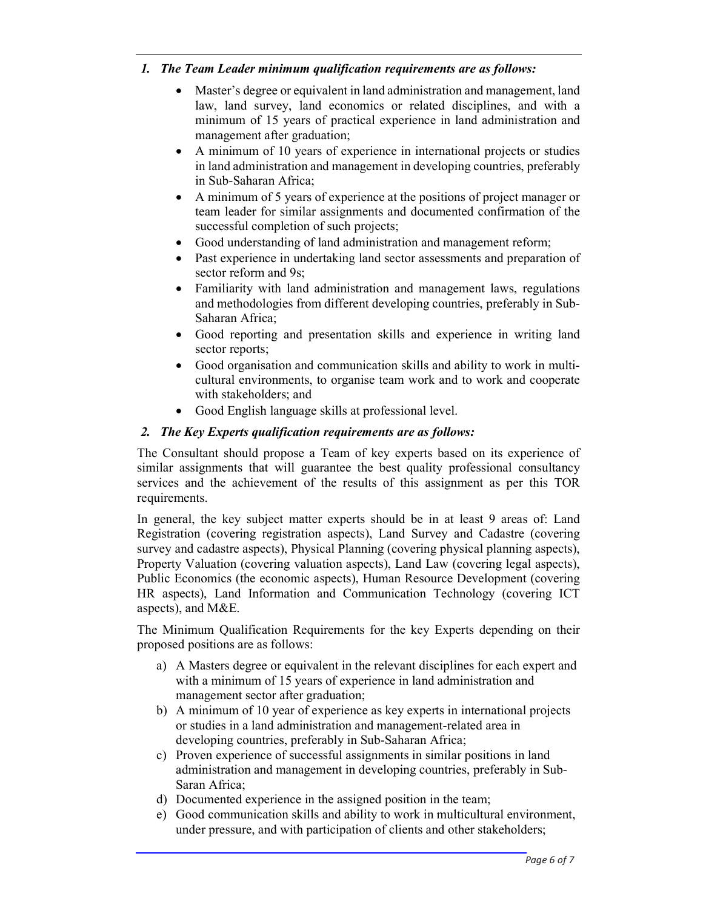### 1. The Team Leader minimum qualification requirements are as follows:

- Master's degree or equivalent in land administration and management, land law, land survey, land economics or related disciplines, and with a minimum of 15 years of practical experience in land administration and management after graduation;
- A minimum of 10 years of experience in international projects or studies in land administration and management in developing countries, preferably in Sub-Saharan Africa;
- A minimum of 5 years of experience at the positions of project manager or team leader for similar assignments and documented confirmation of the successful completion of such projects;
- Good understanding of land administration and management reform;
- Past experience in undertaking land sector assessments and preparation of sector reform and 9s;
- Familiarity with land administration and management laws, regulations and methodologies from different developing countries, preferably in Sub-Saharan Africa;
- Good reporting and presentation skills and experience in writing land sector reports;
- Good organisation and communication skills and ability to work in multicultural environments, to organise team work and to work and cooperate with stakeholders; and
- Good English language skills at professional level.

# 2. The Key Experts qualification requirements are as follows:

The Consultant should propose a Team of key experts based on its experience of similar assignments that will guarantee the best quality professional consultancy services and the achievement of the results of this assignment as per this TOR requirements.

In general, the key subject matter experts should be in at least 9 areas of: Land Registration (covering registration aspects), Land Survey and Cadastre (covering survey and cadastre aspects), Physical Planning (covering physical planning aspects), Property Valuation (covering valuation aspects), Land Law (covering legal aspects), Public Economics (the economic aspects), Human Resource Development (covering HR aspects), Land Information and Communication Technology (covering ICT aspects), and M&E.

The Minimum Qualification Requirements for the key Experts depending on their proposed positions are as follows:

- a) A Masters degree or equivalent in the relevant disciplines for each expert and with a minimum of 15 years of experience in land administration and management sector after graduation;
- b) A minimum of 10 year of experience as key experts in international projects or studies in a land administration and management-related area in developing countries, preferably in Sub-Saharan Africa;
- c) Proven experience of successful assignments in similar positions in land administration and management in developing countries, preferably in Sub-Saran Africa;
- d) Documented experience in the assigned position in the team;
- e) Good communication skills and ability to work in multicultural environment, under pressure, and with participation of clients and other stakeholders;